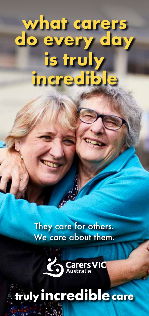# **what carers do every day is truly incredible**

They care for others. We care about them.



## truly incredible care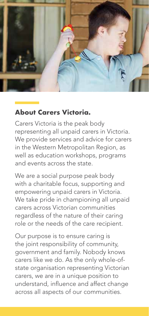

### **About Carers Victoria.**

Carers Victoria is the peak body representing all unpaid carers in Victoria. We provide services and advice for carers in the Western Metropolitan Region, as well as education workshops, programs and events across the state.

We are a social purpose peak body with a charitable focus, supporting and empowering unpaid carers in Victoria. We take pride in championing all unpaid carers across Victorian communities regardless of the nature of their caring role or the needs of the care recipient.

Our purpose is to ensure caring is the joint responsibility of community, government and family. Nobody knows carers like we do. As the only whole-ofstate organisation representing Victorian carers, we are in a unique position to understand, influence and affect change across all aspects of our communities.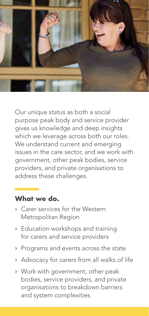

Our unique status as both a social purpose peak body and service provider gives us knowledge and deep insights which we leverage across both our roles. We understand current and emerging issues in the care sector, and we work with government, other peak bodies, service providers, and private organisations to address these challenges.

#### **What we do.**

- › Carer services for the Western Metropolitan Region
- › Education workshops and training for carers and service providers
- › Programs and events across the state
- › Advocacy for carers from all walks of life
- › Work with government, other peak bodies, service providers, and private organisations to breakdown barriers and system complexities